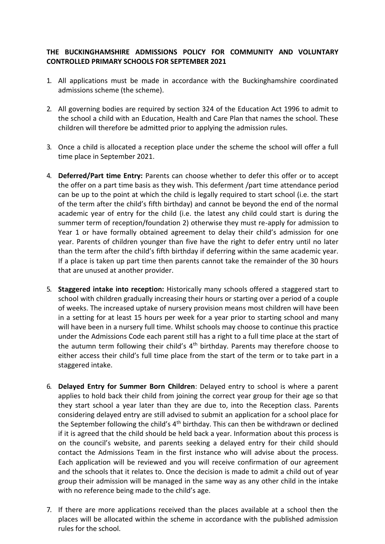### **THE BUCKINGHAMSHIRE ADMISSIONS POLICY FOR COMMUNITY AND VOLUNTARY CONTROLLED PRIMARY SCHOOLS FOR SEPTEMBER 2021**

- 1. All applications must be made in accordance with the Buckinghamshire coordinated admissions scheme (the scheme).
- 2. All governing bodies are required by section 324 of the Education Act 1996 to admit to the school a child with an Education, Health and Care Plan that names the school. These children will therefore be admitted prior to applying the admission rules.
- 3. Once a child is allocated a reception place under the scheme the school will offer a full time place in September 2021.
- 4. **Deferred/Part time Entry:** Parents can choose whether to defer this offer or to accept the offer on a part time basis as they wish. This deferment /part time attendance period can be up to the point at which the child is legally required to start school (i.e. the start of the term after the child's fifth birthday) and cannot be beyond the end of the normal academic year of entry for the child (i.e. the latest any child could start is during the summer term of reception/foundation 2) otherwise they must re-apply for admission to Year 1 or have formally obtained agreement to delay their child's admission for one year. Parents of children younger than five have the right to defer entry until no later than the term after the child's fifth birthday if deferring within the same academic year. If a place is taken up part time then parents cannot take the remainder of the 30 hours that are unused at another provider.
- 5. **Staggered intake into reception:** Historically many schools offered a staggered start to school with children gradually increasing their hours or starting over a period of a couple of weeks. The increased uptake of nursery provision means most children will have been in a setting for at least 15 hours per week for a year prior to starting school and many will have been in a nursery full time. Whilst schools may choose to continue this practice under the Admissions Code each parent still has a right to a full time place at the start of the autumn term following their child's 4<sup>th</sup> birthday. Parents may therefore choose to either access their child's full time place from the start of the term or to take part in a staggered intake.
- 6. **Delayed Entry for Summer Born Children**: Delayed entry to school is where a parent applies to hold back their child from joining the correct year group for their age so that they start school a year later than they are due to, into the Reception class. Parents considering delayed entry are still advised to submit an application for a school place for the September following the child's  $4<sup>th</sup>$  birthday. This can then be withdrawn or declined if it is agreed that the child should be held back a year. Information about this process is on the council's website, and parents seeking a delayed entry for their child should contact the Admissions Team in the first instance who will advise about the process. Each application will be reviewed and you will receive confirmation of our agreement and the schools that it relates to. Once the decision is made to admit a child out of year group their admission will be managed in the same way as any other child in the intake with no reference being made to the child's age.
- 7. If there are more applications received than the places available at a school then the places will be allocated within the scheme in accordance with the published admission rules for the school.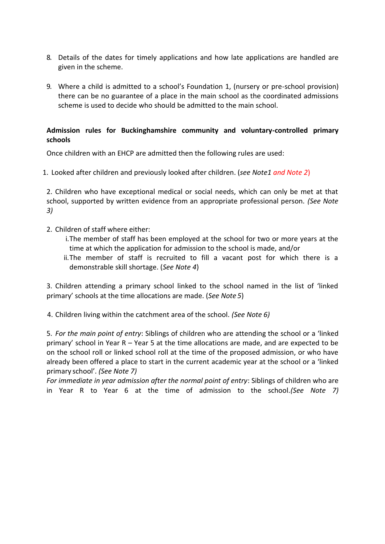- 8. Details of the dates for timely applications and how late applications are handled are given in the scheme.
- 9. Where a child is admitted to a school's Foundation 1, (nursery or pre-school provision) there can be no guarantee of a place in the main school as the coordinated admissions scheme is used to decide who should be admitted to the main school.

### **Admission rules for Buckinghamshire community and voluntary-controlled primary schools**

Once children with an EHCP are admitted then the following rules are used:

1. Looked after children and previously looked after children. (*see Note1 and Note 2*)

2. Children who have exceptional medical or social needs, which can only be met at that school, supported by written evidence from an appropriate professional person. *(See Note 3)*

- 2. Children of staff where either:
	- i.The member of staff has been employed at the school for two or more years at the time at which the application for admission to the school is made, and/or
	- ii.The member of staff is recruited to fill a vacant post for which there is a demonstrable skill shortage. (*See Note 4*)

3. Children attending a primary school linked to the school named in the list of 'linked primary' schools at the time allocations are made. (*See Note 5*)

4. Children living within the catchment area of the school. *(See Note 6)*

5. *For the main point of entry*: Siblings of children who are attending the school or a 'linked primary' school in Year R – Year 5 at the time allocations are made, and are expected to be on the school roll or linked school roll at the time of the proposed admission, or who have already been offered a place to start in the current academic year at the school or a 'linked primary school'. *(See Note 7)*

*For immediate in year admission after the normal point of entry*: Siblings of children who are in Year R to Year 6 at the time of admission to the school.*(See Note 7)*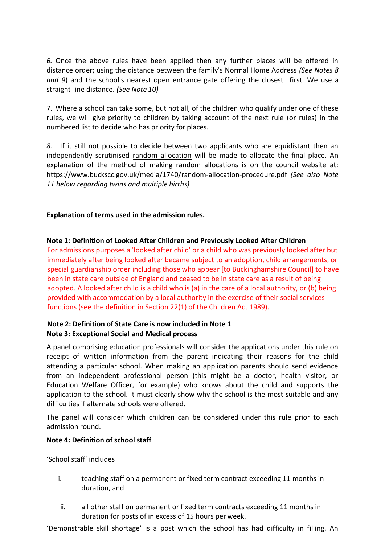*6.* Once the above rules have been applied then any further places will be offered in distance order; using the distance between the family's Normal Home Address *(See Notes 8 and 9*) and the school's nearest open entrance gate offering the closest first. We use a straight-line distance. *(See Note 10)*

7. Where a school can take some, but not all, of the children who qualify under one of these rules, we will give priority to children by taking account of the next rule (or rules) in the numbered list to decide who has priority for places.

*8.* If it still not possible to decide between two applicants who are equidistant then an independently scrutinised [random allocation](https://www.buckscc.gov.uk/media/1740/random-allocation-procedure.pdf) will be made to allocate the final place. An explanation of the method of making random allocations is on the council website at[:](https://www.buckscc.gov.uk/media/1740/random-allocation-procedure.pdf) <https://www.buckscc.gov.uk/media/1740/random-allocation-procedure.pdf> *(See also Note 11 below regarding twins and multiple births)*

# **Explanation of terms used in the admission rules.**

### **Note 1: Definition of Looked After Children and Previously Looked After Children**

For admissions purposes a 'looked after child' or a child who was previously looked after but immediately after being looked after became subject to an adoption, child arrangements, or special guardianship order including those who appear [to Buckinghamshire Council] to have been in state care outside of England and ceased to be in state care as a result of being adopted. A looked after child is a child who is (a) in the care of a local authority, or (b) being provided with accommodation by a local authority in the exercise of their social services functions (see the definition in Section 22(1) of the Children Act 1989).

### **Note 2: Definition of State Care is now included in Note 1 Note 3: Exceptional Social and Medical process**

A panel comprising education professionals will consider the applications under this rule on receipt of written information from the parent indicating their reasons for the child attending a particular school. When making an application parents should send evidence from an independent professional person (this might be a doctor, health visitor, or Education Welfare Officer, for example) who knows about the child and supports the application to the school. It must clearly show why the school is the most suitable and any difficulties if alternate schools were offered.

The panel will consider which children can be considered under this rule prior to each admission round.

### **Note 4: Definition of school staff**

'School staff' includes

- i. teaching staff on a permanent or fixed term contract exceeding 11 months in duration, and
- ii. all other staff on permanent or fixed term contracts exceeding 11 months in duration for posts of in excess of 15 hours per week.

'Demonstrable skill shortage' is a post which the school has had difficulty in filling. An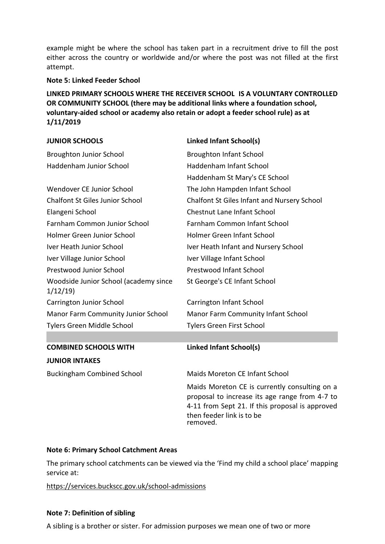example might be where the school has taken part in a recruitment drive to fill the post either across the country or worldwide and/or where the post was not filled at the first attempt.

### **Note 5: Linked Feeder School**

**LINKED PRIMARY SCHOOLS WHERE THE RECEIVER SCHOOL IS A VOLUNTARY CONTROLLED OR COMMUNITY SCHOOL (there may be additional links where a foundation school, voluntary-aided school or academy also retain or adopt a feeder school rule) as at 1/11/2019**

| Linked Infant School(s)                                                                                                                                                                     |
|---------------------------------------------------------------------------------------------------------------------------------------------------------------------------------------------|
| <b>Broughton Infant School</b>                                                                                                                                                              |
| Haddenham Infant School                                                                                                                                                                     |
| Haddenham St Mary's CE School                                                                                                                                                               |
| The John Hampden Infant School                                                                                                                                                              |
| Chalfont St Giles Infant and Nursery School                                                                                                                                                 |
| <b>Chestnut Lane Infant School</b>                                                                                                                                                          |
| Farnham Common Infant School                                                                                                                                                                |
| Holmer Green Infant School                                                                                                                                                                  |
| Iver Heath Infant and Nursery School                                                                                                                                                        |
| Iver Village Infant School                                                                                                                                                                  |
| <b>Prestwood Infant School</b>                                                                                                                                                              |
| St George's CE Infant School                                                                                                                                                                |
| Carrington Infant School                                                                                                                                                                    |
| <b>Manor Farm Community Infant School</b>                                                                                                                                                   |
| <b>Tylers Green First School</b>                                                                                                                                                            |
|                                                                                                                                                                                             |
| Linked Infant School(s)                                                                                                                                                                     |
|                                                                                                                                                                                             |
| <b>Maids Moreton CE Infant School</b>                                                                                                                                                       |
| Maids Moreton CE is currently consulting on a<br>proposal to increase its age range from 4-7 to<br>4-11 from Sept 21. If this proposal is approved<br>then feeder link is to be<br>removed. |
|                                                                                                                                                                                             |

# **Note 6: Primary School Catchment Areas**

The primary school catchments can be viewed via the 'Find my child a school place' mapping service at:

<https://services.buckscc.gov.uk/school-admissions>

### **Note 7: Definition of sibling**

A sibling is a brother or sister. For admission purposes we mean one of two or more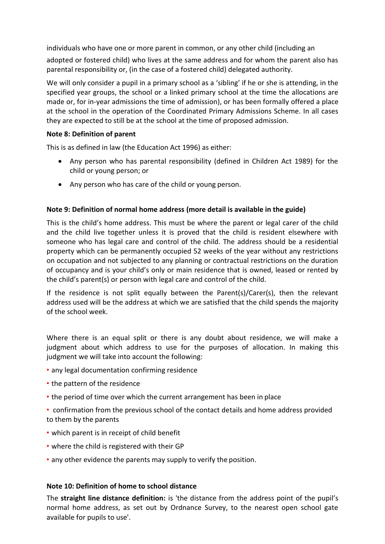individuals who have one or more parent in common, or any other child (including an adopted or fostered child) who lives at the same address and for whom the parent also has parental responsibility or, (in the case of a fostered child) delegated authority.

We will only consider a pupil in a primary school as a 'sibling' if he or she is attending, in the specified year groups, the school or a linked primary school at the time the allocations are made or, for in-year admissions the time of admission), or has been formally offered a place at the school in the operation of the Coordinated Primary Admissions Scheme. In all cases they are expected to still be at the school at the time of proposed admission.

# **Note 8: Definition of parent**

This is as defined in law (the Education Act 1996) as either:

- Any person who has parental responsibility (defined in Children Act 1989) for the child or young person; or
- Any person who has care of the child or young person.

# **Note 9: Definition of normal home address (more detail is available in the guide)**

This is the child's home address. This must be where the parent or legal carer of the child and the child live together unless it is proved that the child is resident elsewhere with someone who has legal care and control of the child. The address should be a residential property which can be permanently occupied 52 weeks of the year without any restrictions on occupation and not subjected to any planning or contractual restrictions on the duration of occupancy and is your child's only or main residence that is owned, leased or rented by the child's parent(s) or person with legal care and control of the child.

If the residence is not split equally between the Parent(s)/Carer(s), then the relevant address used will be the address at which we are satisfied that the child spends the majority of the school week.

Where there is an equal split or there is any doubt about residence, we will make a judgment about which address to use for the purposes of allocation. In making this judgment we will take into account the following:

- any legal documentation confirming residence
- the pattern of the residence
- the period of time over which the current arrangement has been in place
- confirmation from the previous school of the contact details and home address provided to them by the parents
- which parent is in receipt of child benefit
- where the child is registered with their GP
- any other evidence the parents may supply to verify the position.

### **Note 10: Definition of home to school distance**

The **straight line distance definition:** is 'the distance from the address point of the pupil's normal home address, as set out by Ordnance Survey, to the nearest open school gate available for pupils to use'.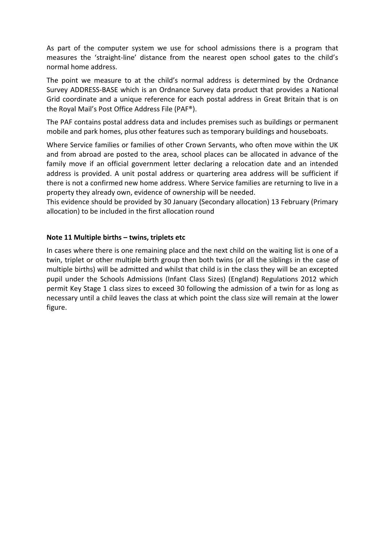As part of the computer system we use for school admissions there is a program that measures the 'straight-line' distance from the nearest open school gates to the child's normal home address.

The point we measure to at the child's normal address is determined by the Ordnance Survey ADDRESS-BASE which is an Ordnance Survey data product that provides a National Grid coordinate and a unique reference for each postal address in Great Britain that is on the Royal Mail's Post Office Address File (PAF®).

The PAF contains postal address data and includes premises such as buildings or permanent mobile and park homes, plus other features such as temporary buildings and houseboats.

Where Service families or families of other Crown Servants, who often move within the UK and from abroad are posted to the area, school places can be allocated in advance of the family move if an official government letter declaring a relocation date and an intended address is provided. A unit postal address or quartering area address will be sufficient if there is not a confirmed new home address. Where Service families are returning to live in a property they already own, evidence of ownership will be needed.

This evidence should be provided by 30 January (Secondary allocation) 13 February (Primary allocation) to be included in the first allocation round

### **Note 11 Multiple births – twins, triplets etc**

In cases where there is one remaining place and the next child on the waiting list is one of a twin, triplet or other multiple birth group then both twins (or all the siblings in the case of multiple births) will be admitted and whilst that child is in the class they will be an excepted pupil under the Schools Admissions (Infant Class Sizes) (England) Regulations 2012 which permit Key Stage 1 class sizes to exceed 30 following the admission of a twin for as long as necessary until a child leaves the class at which point the class size will remain at the lower figure.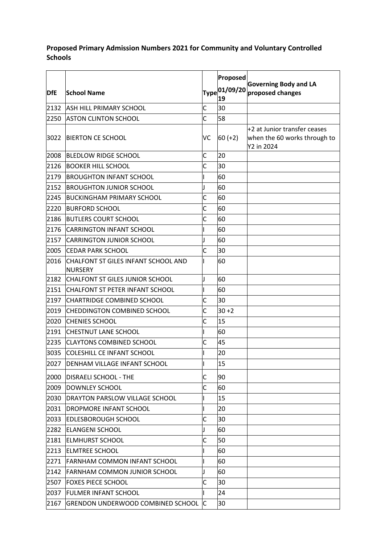# **Proposed Primary Admission Numbers 2021 for Community and Voluntary Controlled Schools**

|            |                                                |              | Proposed                       |                                                                            |
|------------|------------------------------------------------|--------------|--------------------------------|----------------------------------------------------------------------------|
| <b>DfE</b> | <b>School Name</b>                             |              | Type <sup>01/09/20</sup><br>19 | <b>Governing Body and LA</b><br>proposed changes                           |
| 2132       | <b>ASH HILL PRIMARY SCHOOL</b>                 | C            | 30                             |                                                                            |
| 2250       | <b>ASTON CLINTON SCHOOL</b>                    | C            | 58                             |                                                                            |
| 3022       | <b>BIERTON CE SCHOOL</b>                       | VC           | $60 (+2)$                      | +2 at Junior transfer ceases<br>when the 60 works through to<br>Y2 in 2024 |
| 2008       | <b>BLEDLOW RIDGE SCHOOL</b>                    | C            | 20                             |                                                                            |
| 2126       | <b>BOOKER HILL SCHOOL</b>                      | C            | 30                             |                                                                            |
| 2179       | <b>BROUGHTON INFANT SCHOOL</b>                 |              | 60                             |                                                                            |
| 2152       | <b>BROUGHTON JUNIOR SCHOOL</b>                 | J            | 60                             |                                                                            |
| 2245       | <b>BUCKINGHAM PRIMARY SCHOOL</b>               | C            | 60                             |                                                                            |
| 2220       | <b>BURFORD SCHOOL</b>                          | C            | 60                             |                                                                            |
| 2186       | <b>BUTLERS COURT SCHOOL</b>                    | C            | 60                             |                                                                            |
| 2176       | <b>CARRINGTON INFANT SCHOOL</b>                |              | 60                             |                                                                            |
| 2157       | <b>CARRINGTON JUNIOR SCHOOL</b>                |              | 60                             |                                                                            |
| 2005       | <b>CEDAR PARK SCHOOL</b>                       | C            | 30                             |                                                                            |
| 2016       | CHALFONT ST GILES INFANT SCHOOL AND<br>NURSERY |              | 60                             |                                                                            |
| 2182       | <b>CHALFONT ST GILES JUNIOR SCHOOL</b>         |              | 60                             |                                                                            |
| 2151       | CHALFONT ST PETER INFANT SCHOOL                |              | 60                             |                                                                            |
| 2197       | CHARTRIDGE COMBINED SCHOOL                     | C            | 30                             |                                                                            |
| 2019       | <b>CHEDDINGTON COMBINED SCHOOL</b>             | C            | $30 + 2$                       |                                                                            |
| 2020       | <b>CHENIES SCHOOL</b>                          | Ċ            | 15                             |                                                                            |
| 2191       | <b>CHESTNUT LANE SCHOOL</b>                    |              | 60                             |                                                                            |
| 2235       | <b>CLAYTONS COMBINED SCHOOL</b>                | C            | 45                             |                                                                            |
| 3035       | <b>COLESHILL CE INFANT SCHOOL</b>              |              | 20                             |                                                                            |
| 2027       | DENHAM VILLAGE INFANT SCHOOL                   | I            | 15                             |                                                                            |
| 2000       | <b>DISRAELI SCHOOL - THE</b>                   | C            | 90                             |                                                                            |
| 2009       | DOWNLEY SCHOOL                                 | C            | 60                             |                                                                            |
| 2030       | <b>DRAYTON PARSLOW VILLAGE SCHOOL</b>          |              | 15                             |                                                                            |
| 2031       | <b>DROPMORE INFANT SCHOOL</b>                  |              | 20                             |                                                                            |
| 2033       | <b>EDLESBOROUGH SCHOOL</b>                     | $\mathsf{C}$ | 30                             |                                                                            |
| 2282       | <b>ELANGENI SCHOOL</b>                         |              | 60                             |                                                                            |
| 2181       | <b>ELMHURST SCHOOL</b>                         | C            | 50                             |                                                                            |
| 2213       | <b>ELMTREE SCHOOL</b>                          |              | 60                             |                                                                            |
| 2271       | <b>FARNHAM COMMON INFANT SCHOOL</b>            |              | 60                             |                                                                            |
| 2142       | <b>FARNHAM COMMON JUNIOR SCHOOL</b>            |              | 60                             |                                                                            |
| 2507       | <b>FOXES PIECE SCHOOL</b>                      | C            | 30                             |                                                                            |
| 2037       | FULMER INFANT SCHOOL                           |              | 24                             |                                                                            |
| 2167       | GRENDON UNDERWOOD COMBINED SCHOOL              | IC           | 30                             |                                                                            |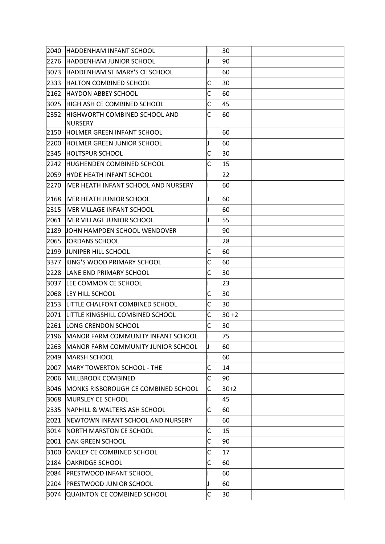| 2040 | <b>HADDENHAM INFANT SCHOOL</b>                  |              | 30       |  |
|------|-------------------------------------------------|--------------|----------|--|
| 2276 | <b>HADDENHAM JUNIOR SCHOOL</b>                  |              | 90       |  |
| 3073 | <b>HADDENHAM ST MARY'S CE SCHOOL</b>            |              | 60       |  |
| 2333 | <b>HALTON COMBINED SCHOOL</b>                   | C            | 30       |  |
| 2162 | <b>HAYDON ABBEY SCHOOL</b>                      | С            | 60       |  |
| 3025 | <b>IHIGH ASH CE COMBINED SCHOOL</b>             | $\mathsf{C}$ | 45       |  |
| 2352 | <b>HIGHWORTH COMBINED SCHOOL AND</b><br>NURSERY | C            | 60       |  |
| 2150 | <b>HOLMER GREEN INFANT SCHOOL</b>               |              | 60       |  |
| 2200 | <b>IHOLMER GREEN JUNIOR SCHOOL</b>              |              | 60       |  |
| 2345 | <b>HOLTSPUR SCHOOL</b>                          | C            | 30       |  |
| 2242 | <b>HUGHENDEN COMBINED SCHOOL</b>                | С            | 15       |  |
| 2059 | <b>HYDE HEATH INFANT SCHOOL</b>                 |              | 22       |  |
| 2270 | <b>IVER HEATH INFANT SCHOOL AND NURSERY</b>     |              | 60       |  |
| 2168 | <b>IVER HEATH JUNIOR SCHOOL</b>                 |              | 60       |  |
| 2315 | <b>IVER VILLAGE INFANT SCHOOL</b>               |              | 60       |  |
| 2061 | <b>IVER VILLAGE JUNIOR SCHOOL</b>               |              | 55       |  |
| 2189 | JOHN HAMPDEN SCHOOL WENDOVER                    |              | 90       |  |
| 2065 | <b>JORDANS SCHOOL</b>                           |              | 28       |  |
| 2199 | <b>JUNIPER HILL SCHOOL</b>                      | С            | 60       |  |
| 3377 | <b>KING'S WOOD PRIMARY SCHOOL</b>               | Ċ            | 60       |  |
| 2228 | LANE END PRIMARY SCHOOL                         | C            | 30       |  |
| 3037 | LEE COMMON CE SCHOOL                            |              | 23       |  |
| 2068 | LEY HILL SCHOOL                                 | С            | 30       |  |
| 2153 | LITTLE CHALFONT COMBINED SCHOOL                 | C            | 30       |  |
|      | 2071 LITTLE KINGSHILL COMBINED SCHOOL           | C            | $30 + 2$ |  |
|      | 2261 LONG CRENDON SCHOOL                        | C            | 30       |  |
|      | 2196 MANOR FARM COMMUNITY INFANT SCHOOL         |              | 75       |  |
| 2263 | <b>IMANOR FARM COMMUNITY JUNIOR SCHOOL</b>      |              | 60       |  |
| 2049 | <b>MARSH SCHOOL</b>                             |              | 60       |  |
| 2007 | MARY TOWERTON SCHOOL - THE                      | C            | 14       |  |
| 2006 | MILLBROOK COMBINED                              | C            | 90       |  |
| 3046 | MONKS RISBOROUGH CE COMBINED SCHOOL             | C            | $30+2$   |  |
| 3068 | <b>IMURSLEY CE SCHOOL</b>                       |              | 45       |  |
| 2335 | <b>INAPHILL &amp; WALTERS ASH SCHOOL</b>        | C            | 60       |  |
| 2021 | NEWTOWN INFANT SCHOOL AND NURSERY               |              | 60       |  |
| 3014 | <b>NORTH MARSTON CE SCHOOL</b>                  | С            | 15       |  |
| 2001 | <b>OAK GREEN SCHOOL</b>                         | C            | 90       |  |
| 3100 | OAKLEY CE COMBINED SCHOOL                       | Ċ            | 17       |  |
| 2184 | <b>OAKRIDGE SCHOOL</b>                          | С            | 60       |  |
| 2084 | <b>PRESTWOOD INFANT SCHOOL</b>                  |              | 60       |  |
| 2204 | <b>PRESTWOOD JUNIOR SCHOOL</b>                  |              | 60       |  |
| 3074 | QUAINTON CE COMBINED SCHOOL                     | С            | 30       |  |